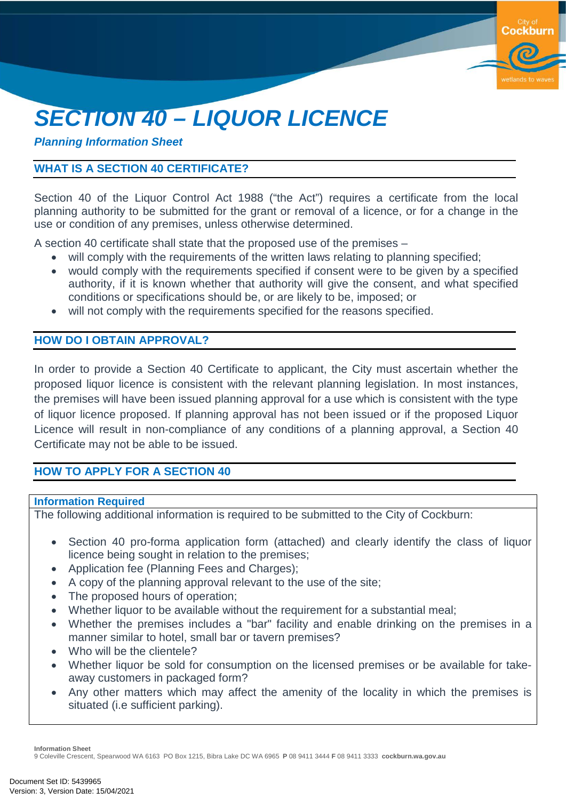# *SECTION 40 – LIQUOR LICENCE*

#### *Planning Information Sheet*

#### **WHAT IS A SECTION 40 CERTIFICATE?**

Section 40 of the Liquor Control Act 1988 ("the Act") requires a certificate from the local planning authority to be submitted for the grant or removal of a licence, or for a change in the use or condition of any premises, unless otherwise determined.

**Cockburn** 

A section 40 certificate shall state that the proposed use of the premises –

- will comply with the requirements of the written laws relating to planning specified;
- would comply with the requirements specified if consent were to be given by a specified authority, if it is known whether that authority will give the consent, and what specified conditions or specifications should be, or are likely to be, imposed; or
- will not comply with the requirements specified for the reasons specified.

#### **HOW DO I OBTAIN APPROVAL?**

In order to provide a Section 40 Certificate to applicant, the City must ascertain whether the proposed liquor licence is consistent with the relevant planning legislation. In most instances, the premises will have been issued planning approval for a use which is consistent with the type of liquor licence proposed. If planning approval has not been issued or if the proposed Liquor Licence will result in non-compliance of any conditions of a planning approval, a Section 40 Certificate may not be able to be issued.

#### **HOW TO APPLY FOR A SECTION 40**

#### **Information Required**

The following additional information is required to be submitted to the City of Cockburn:

- Section 40 pro-forma application form (attached) and clearly identify the class of liquor licence being sought in relation to the premises;
- Application fee (Planning Fees and Charges);
- A copy of the planning approval relevant to the use of the site;
- The proposed hours of operation;
- Whether liquor to be available without the requirement for a substantial meal;
- Whether the premises includes a "bar" facility and enable drinking on the premises in a manner similar to hotel, small bar or tavern premises?
- Who will be the clientele?
- Whether liquor be sold for consumption on the licensed premises or be available for takeaway customers in packaged form?
- Any other matters which may affect the amenity of the locality in which the premises is situated (i.e sufficient parking).

**Information Sheet**

9 Coleville Crescent, Spearwood WA 6163 PO Box 1215, Bibra Lake DC WA 6965 **P** 08 9411 3444 **F** 08 9411 3333 **cockburn.wa.gov.au**